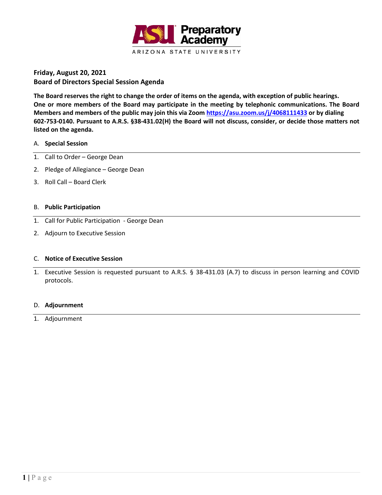

**Friday, August 20, 2021 Board of Directors Special Session Agenda**

**The Board reserves the right to change the order of items on the agenda, with exception of public hearings. One or more members of the Board may participate in the meeting by telephonic communications. The Board Members and members of the public may join this via Zoom<https://asu.zoom.us/j/4068111433> or by dialing 602-753-0140. Pursuant to A.R.S. §38-431.02(H) the Board will not discuss, consider, or decide those matters not listed on the agenda.**

## A. **Special Session**

- 1. Call to Order George Dean
- 2. Pledge of Allegiance George Dean
- 3. Roll Call Board Clerk

## B. **Public Participation**

- 1. Call for Public Participation George Dean
- 2. Adjourn to Executive Session

# C. **Notice of Executive Session**

1. Executive Session is requested pursuant to A.R.S. § 38-431.03 (A.7) to discuss in person learning and COVID protocols.

#### D. **Adjournment**

1. Adjournment